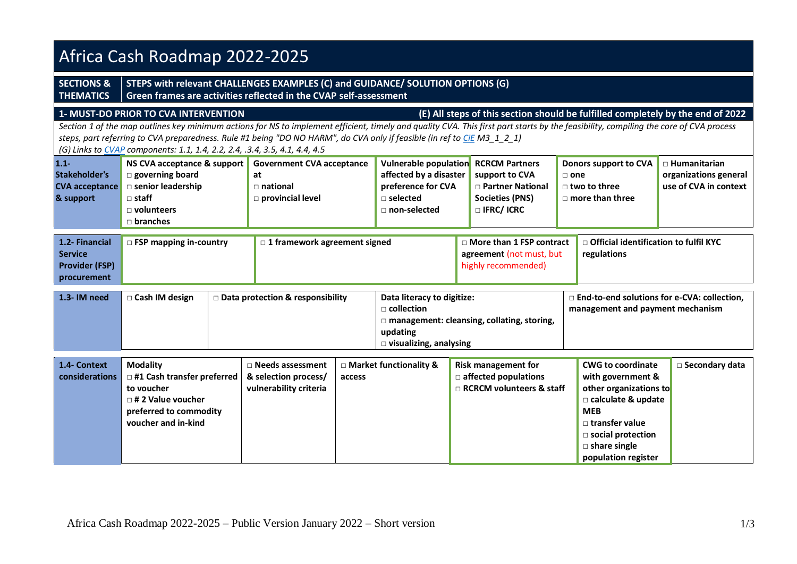| Africa Cash Roadmap 2022-2025                                                                                                                                                                                                                                                                                                                                                                                                                                                                                             |                                                                                                                                                     |                                                                                     |                                                                                                                                                                                                                                          |                                                                                                                        |                                                                                                                                                                                                                     |                                                                       |  |  |  |  |  |
|---------------------------------------------------------------------------------------------------------------------------------------------------------------------------------------------------------------------------------------------------------------------------------------------------------------------------------------------------------------------------------------------------------------------------------------------------------------------------------------------------------------------------|-----------------------------------------------------------------------------------------------------------------------------------------------------|-------------------------------------------------------------------------------------|------------------------------------------------------------------------------------------------------------------------------------------------------------------------------------------------------------------------------------------|------------------------------------------------------------------------------------------------------------------------|---------------------------------------------------------------------------------------------------------------------------------------------------------------------------------------------------------------------|-----------------------------------------------------------------------|--|--|--|--|--|
| <b>SECTIONS &amp;</b><br><b>THEMATICS</b>                                                                                                                                                                                                                                                                                                                                                                                                                                                                                 | STEPS with relevant CHALLENGES EXAMPLES (C) and GUIDANCE/ SOLUTION OPTIONS (G)<br>Green frames are activities reflected in the CVAP self-assessment |                                                                                     |                                                                                                                                                                                                                                          |                                                                                                                        |                                                                                                                                                                                                                     |                                                                       |  |  |  |  |  |
| (E) All steps of this section should be fulfilled completely by the end of 2022<br>1- MUST-DO PRIOR TO CVA INTERVENTION<br>Section 1 of the map outlines key minimum actions for NS to implement efficient, timely and quality CVA. This first part starts by the feasibility, compiling the core of CVA process<br>steps, part referring to CVA preparedness. Rule #1 being "DO NO HARM", do CVA only if feasible (in ref to CiE M3_1_2_1)<br>(G) Links to CVAP components: 1.1, 1.4, 2.2, 2.4, .3.4, 3.5, 4.1, 4.4, 4.5 |                                                                                                                                                     |                                                                                     |                                                                                                                                                                                                                                          |                                                                                                                        |                                                                                                                                                                                                                     |                                                                       |  |  |  |  |  |
| $1.1 -$<br>Stakeholder's<br><b>CVA</b> acceptance<br>& support                                                                                                                                                                                                                                                                                                                                                                                                                                                            | NS CVA acceptance & support<br>$\square$ governing board<br>□ senior leadership<br>$\sqcap$ staff<br>$\Box$ volunteers<br>$\Box$ branches           | <b>Government CVA acceptance</b><br>at<br>$\sqcap$ national<br>provincial level     | affected by a disaster<br>preference for CVA<br>$\square$ selected<br>$\sqcap$ non-selected                                                                                                                                              | Vulnerable population RCRCM Partners<br>support to CVA<br>□ Partner National<br><b>Societies (PNS)</b><br>□ IFRC/ ICRC | Donors support to CVA<br>$\sqcap$ one<br>$\Box$ two to three<br>$\Box$ more than three                                                                                                                              | $\Box$ Humanitarian<br>organizations general<br>use of CVA in context |  |  |  |  |  |
| 1.2- Financial<br><b>Service</b><br><b>Provider (FSP)</b><br>procurement                                                                                                                                                                                                                                                                                                                                                                                                                                                  | □ FSP mapping in-country                                                                                                                            | $\Box$ 1 framework agreement signed                                                 |                                                                                                                                                                                                                                          | □ More than 1 FSP contract<br>agreement (not must, but<br>highly recommended)                                          | regulations                                                                                                                                                                                                         | □ Official identification to fulfil KYC                               |  |  |  |  |  |
| 1.3- IM need                                                                                                                                                                                                                                                                                                                                                                                                                                                                                                              | □ Cash IM design                                                                                                                                    | $\square$ Data protection & responsibility                                          | □ End-to-end solutions for e-CVA: collection,<br>Data literacy to digitize:<br>$\sqcap$ collection<br>management and payment mechanism<br>$\Box$ management: cleansing, collating, storing,<br>updating<br>$\Box$ visualizing, analysing |                                                                                                                        |                                                                                                                                                                                                                     |                                                                       |  |  |  |  |  |
| 1.4- Context<br>considerations                                                                                                                                                                                                                                                                                                                                                                                                                                                                                            | <b>Modality</b><br>□ #1 Cash transfer preferred<br>to voucher<br>$\Box$ # 2 Value voucher<br>preferred to commodity<br>voucher and in-kind          | $\Box$ Needs assessment<br>& selection process/<br>access<br>vulnerability criteria | $\Box$ Market functionality &                                                                                                                                                                                                            | <b>Risk management for</b><br>$\Box$ affected populations<br>$\Box$ RCRCM volunteers & staff                           | <b>CWG to coordinate</b><br>with government &<br>other organizations to<br>$\Box$ calculate & update<br><b>MEB</b><br>$\Box$ transfer value<br>□ social protection<br>$\square$ share single<br>population register | □ Secondary data                                                      |  |  |  |  |  |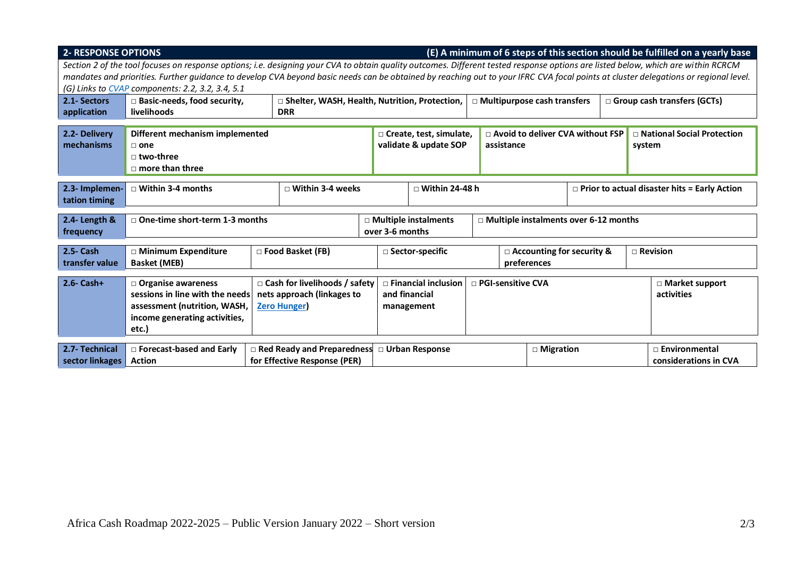| <b>2- RESPONSE OPTIONS</b><br>(E) A minimum of 6 steps of this section should be fulfilled on a yearly base<br>Section 2 of the tool focuses on response options; i.e. designing your CVA to obtain quality outcomes. Different tested response options are listed below, which are within RCRCM<br>mandates and priorities. Further guidance to develop CVA beyond basic needs can be obtained by reaching out to your IFRC CVA focal points at cluster delegations or regional level. |                                                                                                                                                                                                                                    |  |            |  |                                                         |                                                                                  |  |                                                  |                                                     |  |                                               |                                        |  |
|-----------------------------------------------------------------------------------------------------------------------------------------------------------------------------------------------------------------------------------------------------------------------------------------------------------------------------------------------------------------------------------------------------------------------------------------------------------------------------------------|------------------------------------------------------------------------------------------------------------------------------------------------------------------------------------------------------------------------------------|--|------------|--|---------------------------------------------------------|----------------------------------------------------------------------------------|--|--------------------------------------------------|-----------------------------------------------------|--|-----------------------------------------------|----------------------------------------|--|
| 2.1- Sectors                                                                                                                                                                                                                                                                                                                                                                                                                                                                            | (G) Links to CVAP components: 2.2, 3.2, 3.4, 5.1<br>$\Box$ Basic-needs, food security,<br>□ Shelter, WASH, Health, Nutrition, Protection,<br>$\Box$ Multipurpose cash transfers<br>$\Box$ Group cash transfers (GCTs)              |  |            |  |                                                         |                                                                                  |  |                                                  |                                                     |  |                                               |                                        |  |
| application                                                                                                                                                                                                                                                                                                                                                                                                                                                                             | livelihoods                                                                                                                                                                                                                        |  | <b>DRR</b> |  |                                                         |                                                                                  |  |                                                  |                                                     |  |                                               |                                        |  |
| 2.2- Delivery<br>mechanisms                                                                                                                                                                                                                                                                                                                                                                                                                                                             | Different mechanism implemented<br>$\Box$ one<br>$\sqcap$ two-three<br>$\Box$ more than three                                                                                                                                      |  |            |  | $\Box$ Create, test, simulate,<br>validate & update SOP |                                                                                  |  | □ Avoid to deliver CVA without FSP<br>assistance |                                                     |  |                                               | □ National Social Protection<br>system |  |
| 2.3- Implemen-<br>tation timing                                                                                                                                                                                                                                                                                                                                                                                                                                                         | $\Box$ Within 3-4 months<br>$\Box$ Within 3-4 weeks                                                                                                                                                                                |  |            |  | $\Box$ Within 24-48 h                                   |                                                                                  |  |                                                  | $\Box$ Prior to actual disaster hits = Early Action |  |                                               |                                        |  |
| 2.4- Length &<br>frequency                                                                                                                                                                                                                                                                                                                                                                                                                                                              | $\Box$ One-time short-term 1-3 months                                                                                                                                                                                              |  |            |  | □ Multiple instalments<br>over 3-6 months               |                                                                                  |  |                                                  | □ Multiple instalments over 6-12 months             |  |                                               |                                        |  |
| 2.5- Cash<br>transfer value                                                                                                                                                                                                                                                                                                                                                                                                                                                             | □ Minimum Expenditure<br>□ Food Basket (FB)<br><b>Basket (MEB)</b>                                                                                                                                                                 |  |            |  | □ Sector-specific                                       |                                                                                  |  |                                                  | □ Accounting for security &<br>preferences          |  | $\Box$ Revision                               |                                        |  |
| $2.6 - Cash+$                                                                                                                                                                                                                                                                                                                                                                                                                                                                           | $\Box$ Organise awareness<br>$\Box$ Cash for livelihoods / safety<br>sessions in line with the needs<br>nets approach (linkages to<br>assessment (nutrition, WASH,<br><b>Zero Hunger</b><br>income generating activities,<br>etc.) |  |            |  |                                                         | $\Box$ Financial inclusion<br>□ PGI-sensitive CVA<br>and financial<br>management |  |                                                  |                                                     |  |                                               | $\Box$ Market support<br>activities    |  |
| 2.7- Technical<br>sector linkages   Action                                                                                                                                                                                                                                                                                                                                                                                                                                              | □ Forecast-based and Early<br>$\Box$ Red Ready and Preparedness<br>for Effective Response (PER)                                                                                                                                    |  |            |  | □ Urban Response                                        |                                                                                  |  | $\Box$ Migration                                 |                                                     |  | $\Box$ Environmental<br>considerations in CVA |                                        |  |